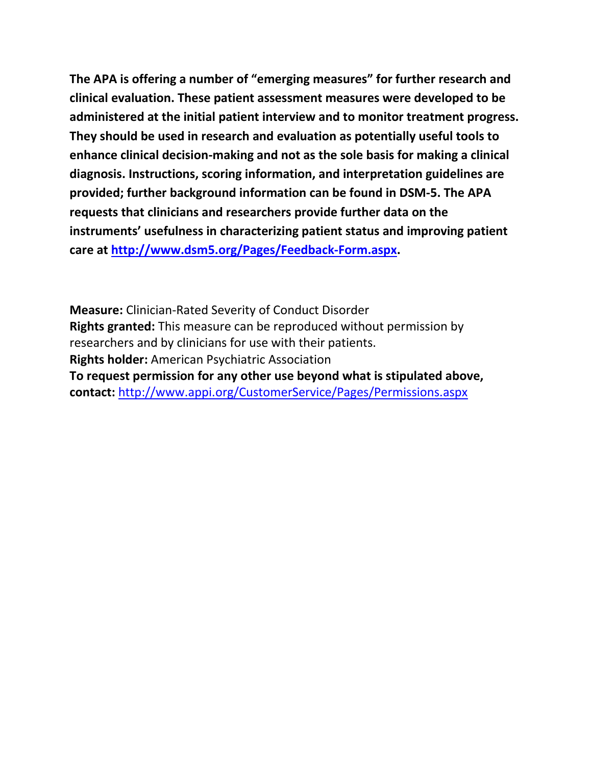**The APA is offering a number of "emerging measures" for further research and clinical evaluation. These patient assessment measures were developed to be administered at the initial patient interview and to monitor treatment progress. They should be used in research and evaluation as potentially useful tools to enhance clinical decision-making and not as the sole basis for making a clinical diagnosis. Instructions, scoring information, and interpretation guidelines are provided; further background information can be found in DSM-5. The APA requests that clinicians and researchers provide further data on the instruments' usefulness in characterizing patient status and improving patient care at [http://www.dsm5.org/Pages/Feedback-Form.aspx.](http://www.dsm5.org/Pages/Feedback-Form.aspx)**

**Measure:** Clinician-Rated Severity of Conduct Disorder **Rights granted:** This measure can be reproduced without permission by researchers and by clinicians for use with their patients. **Rights holder:** American Psychiatric Association **To request permission for any other use beyond what is stipulated above, contact:** <http://www.appi.org/CustomerService/Pages/Permissions.aspx>